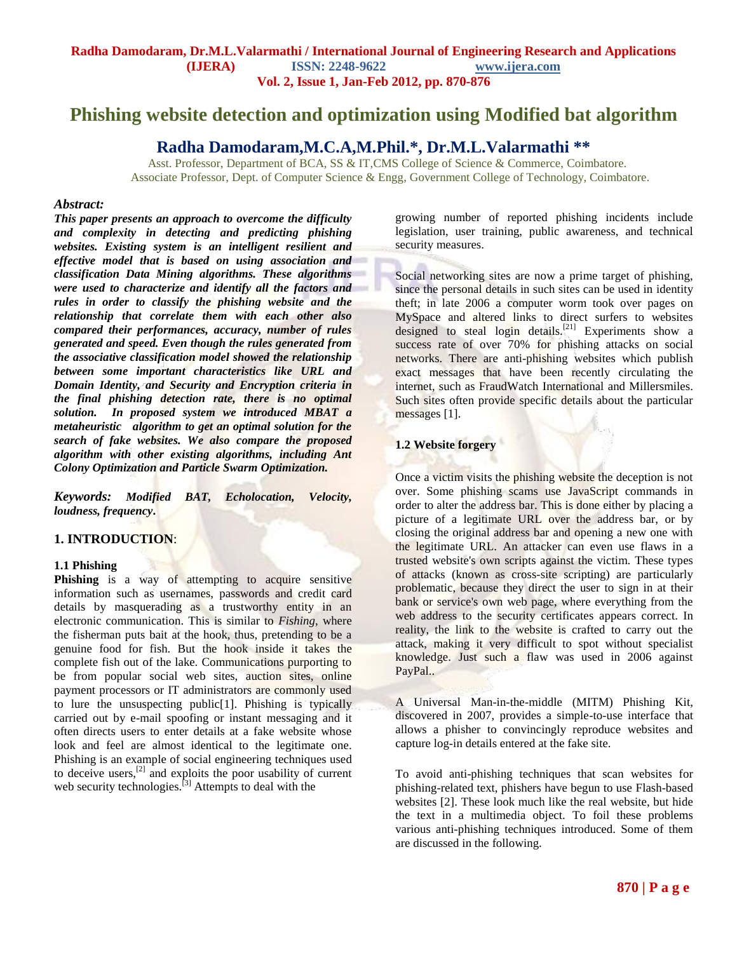# **Phishing website detection and optimization using Modified bat algorithm**

## **Radha Damodaram,M.C.A,M.Phil.\*, Dr.M.L.Valarmathi \*\***

 Asst. Professor, Department of BCA, SS & IT,CMS College of Science & Commerce, Coimbatore. Associate Professor, Dept. of Computer Science & Engg, Government College of Technology, Coimbatore.

### *Abstract:*

*This paper presents an approach to overcome the difficulty and complexity in detecting and predicting phishing websites. Existing system is an intelligent resilient and effective model that is based on using association and classification Data Mining algorithms. These algorithms were used to characterize and identify all the factors and rules in order to classify the phishing website and the relationship that correlate them with each other also compared their performances, accuracy, number of rules generated and speed. Even though the rules generated from the associative classification model showed the relationship between some important characteristics like URL and Domain Identity, and Security and Encryption criteria in the final phishing detection rate, there is no optimal solution. In proposed system we introduced MBAT a metaheuristic algorithm to get an optimal solution for the search of fake websites. We also compare the proposed algorithm with other existing algorithms, including Ant Colony Optimization and Particle Swarm Optimization.*

*Keywords: Modified BAT, Echolocation, Velocity, loudness, frequency***.** 

## **1. INTRODUCTION**:

### **1.1 Phishing**

**Phishing** is a way of attempting to acquire sensitive information such as usernames, [passwords](http://en.wikipedia.org/wiki/Password) and credit card details by masquerading as a trustworthy entity in an [electronic communication.](http://en.wikipedia.org/wiki/Electronic_communication) This is similar to *Fishing*, where the fisherman puts bait at the hook, thus, pretending to be a genuine food for fish. But the hook inside it takes the complete fish out of the lake. Communications purporting to be from popular social web sites, auction sites, online payment processors or IT administrators are commonly used to lure the unsuspecting public[1]. Phishing is typically carried out by [e-mail](http://en.wikipedia.org/wiki/E-mail) [spoofing](http://en.wikipedia.org/wiki/E-mail_spoofing) or [instant messaging](http://en.wikipedia.org/wiki/Instant_messaging) and it often directs users to enter details at a fake website whose [look and feel](http://en.wikipedia.org/wiki/Look_and_feel) are almost identical to the legitimate one. Phishing is an example of [social engineering](http://en.wikipedia.org/wiki/Social_engineering_%28computer_security%29) techniques used to deceive users, $^{[2]}$  $^{[2]}$  $^{[2]}$  and exploits the poor usability of current web security technologies.<sup>[\[3\]](http://en.wikipedia.org/wiki/Phishing#cite_note-Jos2007-2)</sup> Attempts to deal with the

growing number of reported phishing incidents include [legislation,](http://en.wikipedia.org/wiki/Legislation) user training, public awareness, and technical security measures.

[Social networking sites](http://en.wikipedia.org/wiki/Social_network_service) are now a prime target of phishing, since the personal details in such sites can be used in [identity](http://en.wikipedia.org/wiki/Identity_theft)  [theft;](http://en.wikipedia.org/wiki/Identity_theft) in late 2006 a [computer worm](http://en.wikipedia.org/wiki/Computer_worm) took over pages on [MySpace](http://en.wikipedia.org/wiki/MySpace) and altered links to direct surfers to websites designed to steal login details.<sup>[\[21\]](http://en.wikipedia.org/wiki/Phishing#cite_note-20)</sup> Experiments show a success rate of over 70% for phishing attacks on social networks. There are anti-phishing websites which publish exact messages that have been recently circulating the internet, such as [FraudWatch International](http://en.wikipedia.org/w/index.php?title=FraudWatch_International&action=edit&redlink=1) and [Millersmiles.](http://en.wikipedia.org/w/index.php?title=Millersmiles&action=edit&redlink=1) Such sites often provide specific details about the particular messages [1].

## **1.2 Website forgery**

Once a victim visits the phishing website the deception is not over. Some phishing scams use [JavaScript](http://en.wikipedia.org/wiki/JavaScript) commands in order to alter the [address bar.](http://en.wikipedia.org/wiki/URL_bar) This is done either by placing a picture of a legitimate URL over the address bar, or by closing the original address bar and opening a new one with the legitimate URL. An attacker can even use flaws in a trusted website's own scripts against the victim. These types of attacks (known as [cross-site scripting\)](http://en.wikipedia.org/wiki/Cross-site_scripting) are particularly problematic, because they direct the user to sign in at their bank or service's own web page, where everything from the [web address](http://en.wikipedia.org/wiki/URL) to the [security certificates](http://en.wikipedia.org/wiki/Transport_Layer_Security) appears correct. In reality, the link to the website is crafted to carry out the attack, making it very difficult to spot without specialist knowledge. Just such a flaw was used in 2006 against [PayPal..](http://en.wikipedia.org/wiki/PayPal)

A Universal [Man-in-the-middle](http://en.wikipedia.org/wiki/Man-in-the-middle_attack) (MITM) Phishing Kit, discovered in 2007, provides a simple-to-use interface that allows a phisher to convincingly reproduce websites and capture log-in details entered at the fake site.

To avoid anti-phishing techniques that scan websites for phishing-related text, phishers have begun to use [Flash-](http://en.wikipedia.org/wiki/Adobe_Flash)based websites [2]. These look much like the real website, but hide the text in a multimedia object. To foil these problems various anti-phishing techniques introduced. Some of them are discussed in the following.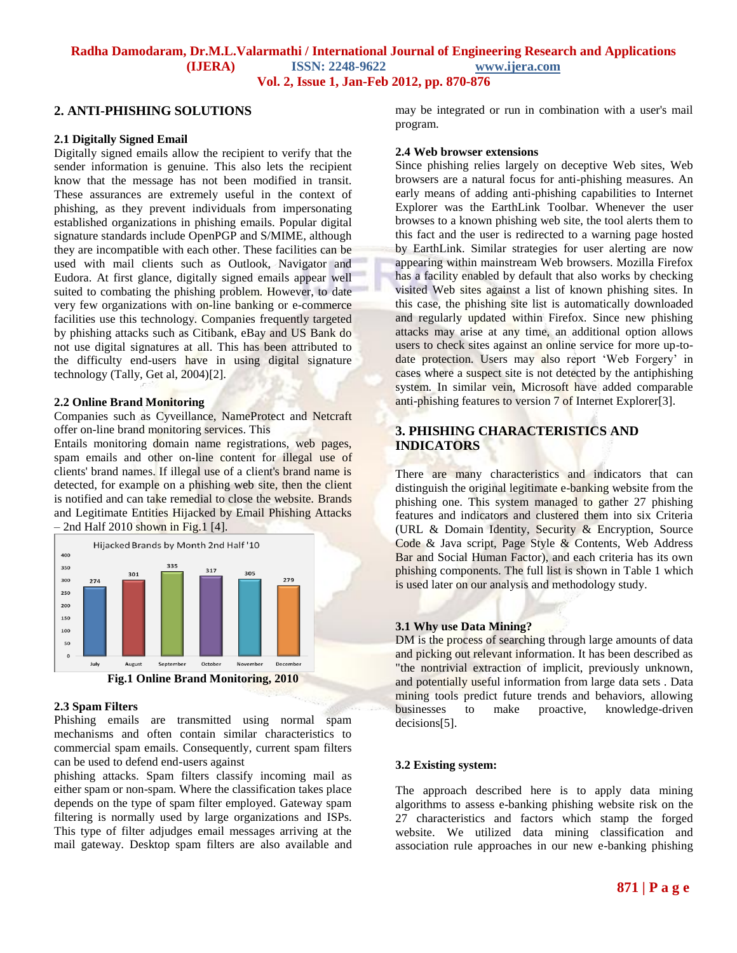## **2. ANTI-PHISHING SOLUTIONS**

### **2.1 Digitally Signed Email**

Digitally signed emails allow the recipient to verify that the sender information is genuine. This also lets the recipient know that the message has not been modified in transit. These assurances are extremely useful in the context of phishing, as they prevent individuals from impersonating established organizations in phishing emails. Popular digital signature standards include OpenPGP and S/MIME, although they are incompatible with each other. These facilities can be used with mail clients such as Outlook, Navigator and Eudora. At first glance, digitally signed emails appear well suited to combating the phishing problem. However, to date very few organizations with on-line banking or e-commerce facilities use this technology. Companies frequently targeted by phishing attacks such as Citibank, eBay and US Bank do not use digital signatures at all. This has been attributed to the difficulty end-users have in using digital signature technology (Tally, Get al, 2004)[2].

### **2.2 Online Brand Monitoring**

Companies such as Cyveillance, NameProtect and Netcraft offer on-line brand monitoring services. This

Entails monitoring domain name registrations, web pages, spam emails and other on-line content for illegal use of clients' brand names. If illegal use of a client's brand name is detected, for example on a phishing web site, then the client is notified and can take remedial to close the website. Brands and Legitimate Entities Hijacked by Email Phishing Attacks  $-$  2nd Half 2010 shown in Fig.1 [4].



**Fig.1 Online Brand Monitoring, 2010**

### **2.3 Spam Filters**

Phishing emails are transmitted using normal spam mechanisms and often contain similar characteristics to commercial spam emails. Consequently, current spam filters can be used to defend end-users against

phishing attacks. Spam filters classify incoming mail as either spam or non-spam. Where the classification takes place depends on the type of spam filter employed. Gateway spam filtering is normally used by large organizations and ISPs. This type of filter adjudges email messages arriving at the mail gateway. Desktop spam filters are also available and may be integrated or run in combination with a user's mail program.

#### **2.4 Web browser extensions**

Since phishing relies largely on deceptive Web sites, Web browsers are a natural focus for anti-phishing measures. An early means of adding anti-phishing capabilities to Internet Explorer was the EarthLink Toolbar. Whenever the user browses to a known phishing web site, the tool alerts them to this fact and the user is redirected to a warning page hosted by EarthLink. Similar strategies for user alerting are now appearing within mainstream Web browsers. Mozilla Firefox has a facility enabled by default that also works by checking visited Web sites against a list of known phishing sites. In this case, the phishing site list is automatically downloaded and regularly updated within Firefox. Since new phishing attacks may arise at any time, an additional option allows users to check sites against an online service for more up-todate protection. Users may also report 'Web Forgery' in cases where a suspect site is not detected by the antiphishing system. In similar vein, Microsoft have added comparable anti-phishing features to version 7 of Internet Explorer[3].

## **3. PHISHING CHARACTERISTICS AND INDICATORS**

There are many characteristics and indicators that can distinguish the original legitimate e-banking website from the phishing one. This system managed to gather 27 phishing features and indicators and clustered them into six Criteria (URL & Domain Identity, Security & Encryption, Source Code & Java script, Page Style & Contents, Web Address Bar and Social Human Factor), and each criteria has its own phishing components. The full list is shown in Table 1 which is used later on our analysis and methodology study.

#### **3.1 Why use Data Mining?**

DM is the process of searching through large amounts of data and picking out relevant information. It has been described as "the nontrivial extraction of implicit, previously unknown, and potentially useful information from large data sets . Data mining tools predict future trends and behaviors, allowing businesses to make proactive, knowledge-driven decisions[5].

### **3.2 Existing system:**

The approach described here is to apply data mining algorithms to assess e-banking phishing website risk on the 27 characteristics and factors which stamp the forged website. We utilized data mining classification and association rule approaches in our new e-banking phishing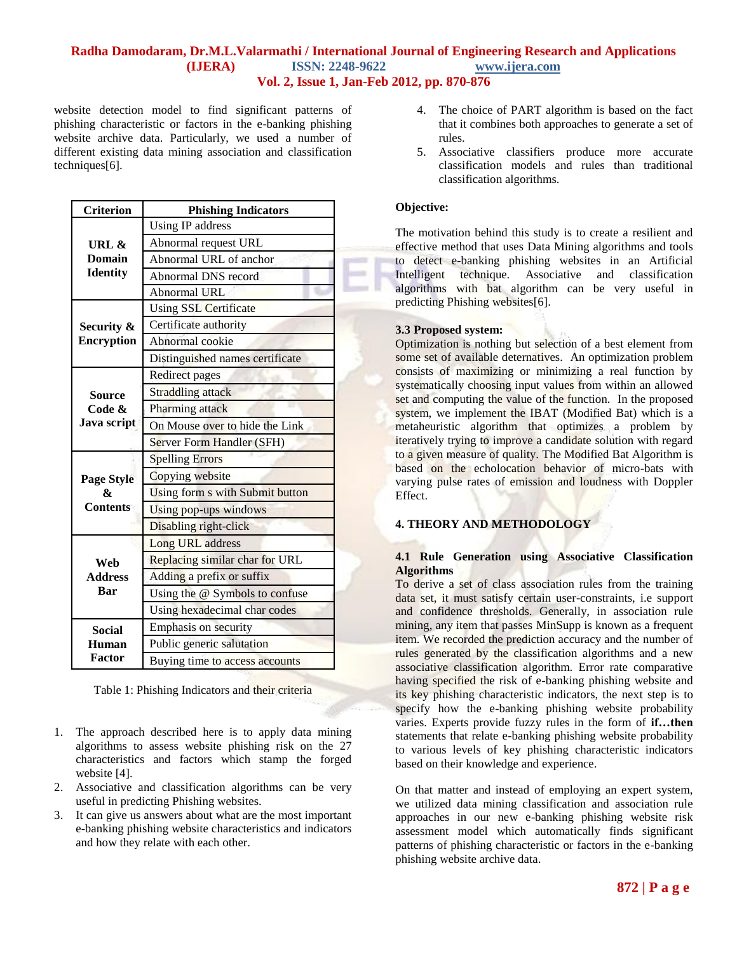website detection model to find significant patterns of phishing characteristic or factors in the e-banking phishing website archive data. Particularly, we used a number of different existing data mining association and classification techniques[6].

| <b>Criterion</b>  | <b>Phishing Indicators</b>      |  |  |  |  |  |  |
|-------------------|---------------------------------|--|--|--|--|--|--|
|                   | Using IP address                |  |  |  |  |  |  |
| URL &             | Abnormal request URL            |  |  |  |  |  |  |
| <b>Domain</b>     | Abnormal URL of anchor          |  |  |  |  |  |  |
| <b>Identity</b>   | Abnormal DNS record             |  |  |  |  |  |  |
|                   | Abnormal URL                    |  |  |  |  |  |  |
|                   | Using SSL Certificate           |  |  |  |  |  |  |
| Security &        | Certificate authority           |  |  |  |  |  |  |
| <b>Encryption</b> | Abnormal cookie                 |  |  |  |  |  |  |
|                   | Distinguished names certificate |  |  |  |  |  |  |
|                   | <b>Redirect</b> pages           |  |  |  |  |  |  |
| <b>Source</b>     | Straddling attack               |  |  |  |  |  |  |
| Code &            | Pharming attack                 |  |  |  |  |  |  |
| Java script       | On Mouse over to hide the Link  |  |  |  |  |  |  |
|                   | Server Form Handler (SFH)       |  |  |  |  |  |  |
|                   | <b>Spelling Errors</b>          |  |  |  |  |  |  |
| <b>Page Style</b> | Copying website                 |  |  |  |  |  |  |
| x                 | Using form s with Submit button |  |  |  |  |  |  |
| <b>Contents</b>   | Using pop-ups windows           |  |  |  |  |  |  |
|                   | Disabling right-click           |  |  |  |  |  |  |
|                   | Long URL address                |  |  |  |  |  |  |
| Web               | Replacing similar char for URL  |  |  |  |  |  |  |
| <b>Address</b>    | Adding a prefix or suffix       |  |  |  |  |  |  |
| Bar               | Using the @ Symbols to confuse  |  |  |  |  |  |  |
|                   | Using hexadecimal char codes    |  |  |  |  |  |  |
| Social            | Emphasis on security            |  |  |  |  |  |  |
| Human             | Public generic salutation       |  |  |  |  |  |  |
| Factor            | Buying time to access accounts  |  |  |  |  |  |  |

Table 1: Phishing Indicators and their criteria

- 1. The approach described here is to apply data mining algorithms to assess website phishing risk on the 27 characteristics and factors which stamp the forged website [4].
- 2. Associative and classification algorithms can be very useful in predicting Phishing websites.
- 3. It can give us answers about what are the most important e-banking phishing website characteristics and indicators and how they relate with each other.
- 4. The choice of PART algorithm is based on the fact that it combines both approaches to generate a set of rules.
- 5. Associative classifiers produce more accurate classification models and rules than traditional classification algorithms.

## **Objective:**

The motivation behind this study is to create a resilient and effective method that uses Data Mining algorithms and tools to detect e-banking phishing websites in an Artificial Intelligent technique. Associative and classification algorithms with bat algorithm can be very useful in predicting Phishing websites[6].

## **3.3 Proposed system:**

Optimization is nothing but selection of a best element from some set of available deternatives. An optimization problem consists of maximizing or minimizing a real function by systematically choosing input values from within an allowed set and computing the value of the function. In the proposed system, we implement the IBAT (Modified Bat) which is a metaheuristic algorithm that optimizes a problem by iteratively trying to improve a candidate solution with regard to a given measure of quality. The Modified Bat Algorithm is based on the echolocation behavior of micro-bats with varying pulse rates of emission and loudness with Doppler Effect.

## **4. THEORY AND METHODOLOGY**

## **4.1 Rule Generation using Associative Classification Algorithms**

To derive a set of class association rules from the training data set, it must satisfy certain user-constraints, i.e support and confidence thresholds. Generally, in association rule mining, any item that passes MinSupp is known as a frequent item. We recorded the prediction accuracy and the number of rules generated by the classification algorithms and a new associative classification algorithm. Error rate comparative having specified the risk of e-banking phishing website and its key phishing characteristic indicators, the next step is to specify how the e-banking phishing website probability varies. Experts provide fuzzy rules in the form of **if…then**  statements that relate e-banking phishing website probability to various levels of key phishing characteristic indicators based on their knowledge and experience.

On that matter and instead of employing an expert system, we utilized data mining classification and association rule approaches in our new e-banking phishing website risk assessment model which automatically finds significant patterns of phishing characteristic or factors in the e-banking phishing website archive data.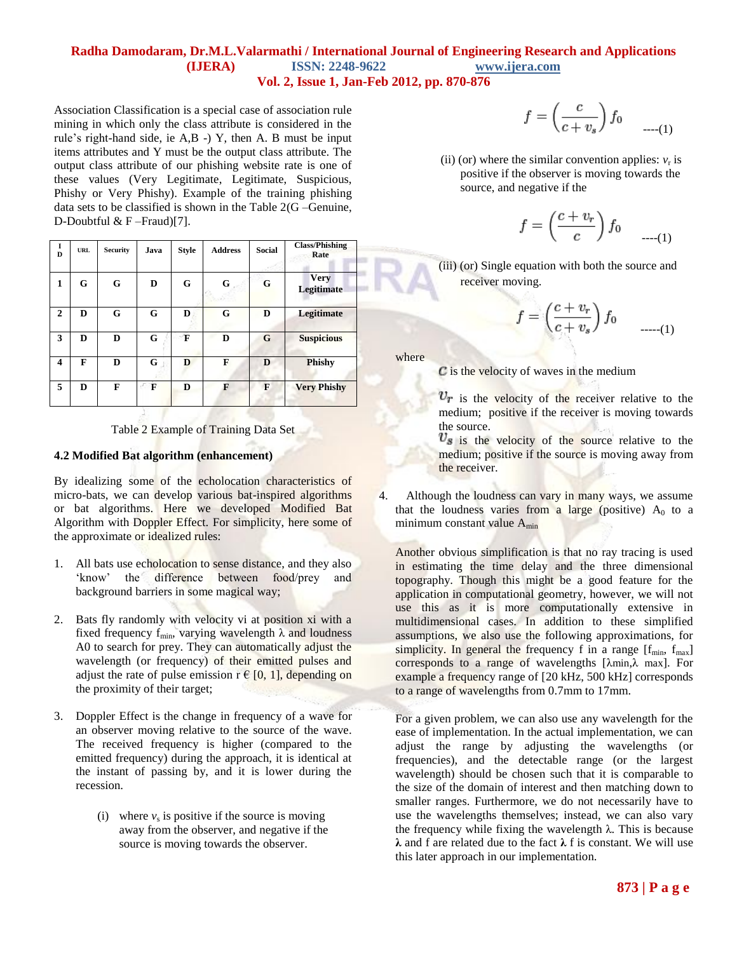Association Classification is a special case of association rule mining in which only the class attribute is considered in the rule"s right-hand side, ie A,B -) Y, then A. B must be input items attributes and Y must be the output class attribute. The output class attribute of our phishing website rate is one of these values (Very Legitimate, Legitimate, Suspicious, Phishy or Very Phishy). Example of the training phishing data sets to be classified is shown in the Table 2(G –Genuine, D-Doubtful & F –Fraud)[7].

| 1<br>D       | <b>URL</b> | <b>Security</b> | Java | <b>Style</b> | <b>Address</b> | <b>Social</b> | <b>Class/Phishing</b><br>Rate    |
|--------------|------------|-----------------|------|--------------|----------------|---------------|----------------------------------|
| 1            | G          | G               | D    | G            | G              | G             | <b>Very</b><br><b>Legitimate</b> |
| $\mathbf{2}$ | D          | G               | G    | D            | G              | D             | Legitimate                       |
| 3            | D          | D               | G    | F            | D              | G             | <b>Suspicious</b>                |
| 4            | F          | D               | G    | D            | F              | D             | <b>Phishy</b>                    |
| 5            | D          | F               | F    | D            | F              | F             | <b>Very Phishy</b>               |

Table 2 Example of Training Data Set

### **4.2 Modified Bat algorithm (enhancement)**

By idealizing some of the echolocation characteristics of micro-bats, we can develop various bat-inspired algorithms or bat algorithms. Here we developed Modified Bat Algorithm with Doppler Effect. For simplicity, here some of the approximate or idealized rules:

- 1. All bats use echolocation to sense distance, and they also 'know' the difference between food/prey and background barriers in some magical way;
- 2. Bats fly randomly with velocity vi at position xi with a fixed frequency  $f_{min}$ , varying wavelength  $\lambda$  and loudness A0 to search for prey. They can automatically adjust the wavelength (or frequency) of their emitted pulses and adjust the rate of pulse emission  $r \in [0, 1]$ , depending on the proximity of their target;
- 3. Doppler Effect is the change in [frequency](http://en.wikipedia.org/wiki/Frequency) of a [wave](http://en.wikipedia.org/wiki/Wave) for an [observer](http://en.wikipedia.org/wiki/Observer) moving relative to the source of the wave. The received frequency is higher (compared to the emitted frequency) during the approach, it is identical at the instant of passing by, and it is lower during the recession.
	- (i) where  $v_s$  is positive if the source is moving away from the observer, and negative if the source is moving towards the observer.

$$
f = \left(\frac{c}{c + v_s}\right) f_0 \qquad \qquad \dots (1)
$$

(ii) (or) where the similar convention applies:  $v_r$  is positive if the observer is moving towards the source, and negative if the

$$
f = \left(\frac{c + v_r}{c}\right) f_0 \quad \dots (1)
$$

(iii) (or) Single equation with both the source and receiver moving.

$$
f = \left(\frac{c + v_r}{c + v_s}\right) f_0 \qquad \qquad \dots (1)
$$

where

 $\overline{C}$  is the velocity of waves in the medium

 $v_r$  is the velocity of the receiver relative to the medium; positive if the receiver is moving towards the source.

 $v_s$  is the velocity of the source relative to the medium; positive if the source is moving away from the receiver.

4. Although the loudness can vary in many ways, we assume that the loudness varies from a large (positive)  $A_0$  to a minimum constant value A<sub>min</sub>

Another obvious simplification is that no ray tracing is used in estimating the time delay and the three dimensional topography. Though this might be a good feature for the application in computational geometry, however, we will not use this as it is more computationally extensive in multidimensional cases. In addition to these simplified assumptions, we also use the following approximations, for simplicity. In general the frequency f in a range  $[f_{min}, f_{max}]$ corresponds to a range of wavelengths [λmin,λ max]. For example a frequency range of [20 kHz, 500 kHz] corresponds to a range of wavelengths from 0.7mm to 17mm.

For a given problem, we can also use any wavelength for the ease of implementation. In the actual implementation, we can adjust the range by adjusting the wavelengths (or frequencies), and the detectable range (or the largest wavelength) should be chosen such that it is comparable to the size of the domain of interest and then matching down to smaller ranges. Furthermore, we do not necessarily have to use the wavelengths themselves; instead, we can also vary the frequency while fixing the wavelength  $\lambda$ . This is because **λ** and f are related due to the fact **λ** f is constant. We will use this later approach in our implementation.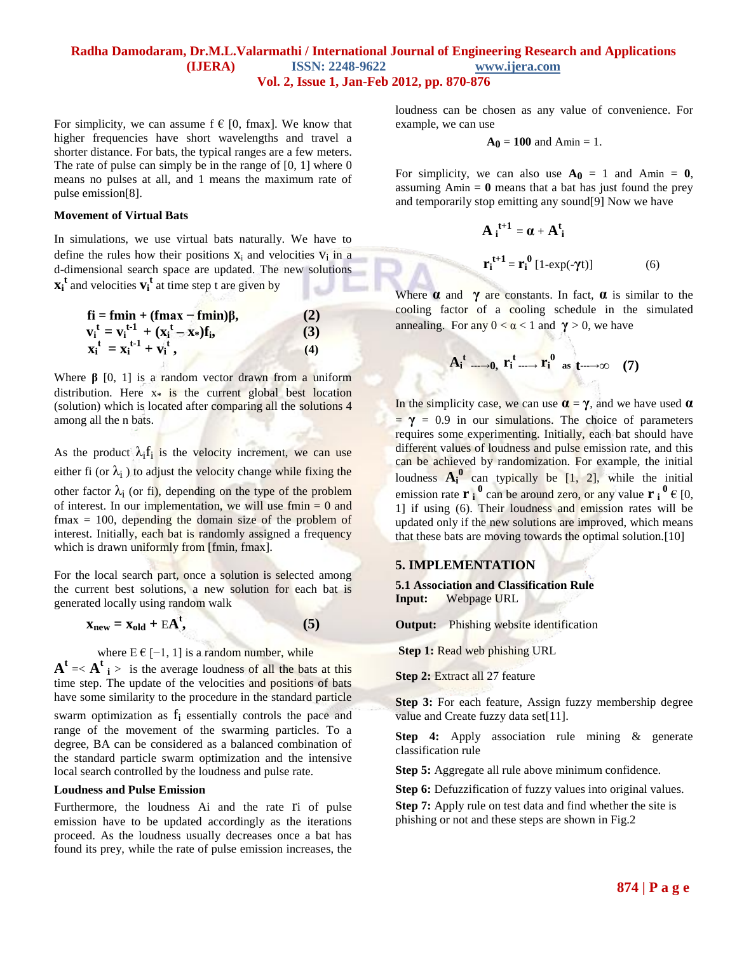For simplicity, we can assume  $f \in [0, \text{fmax}]$ . We know that higher frequencies have short wavelengths and travel a shorter distance. For bats, the typical ranges are a few meters. The rate of pulse can simply be in the range of  $[0, 1]$  where  $0$ means no pulses at all, and 1 means the maximum rate of pulse emission[8].

#### **Movement of Virtual Bats**

In simulations, we use virtual bats naturally. We have to define the rules how their positions  $X_i$  and velocities  $V_i$  in a d-dimensional search space are updated. The new solutions  $\mathbf{x}_i^{\mathsf{t}}$  and velocities  $\mathbf{v}_i^{\mathsf{t}}$  at time step t are given by

$$
\mathbf{f} \mathbf{i} = \mathbf{f} \mathbf{m} \mathbf{i} \mathbf{n} + (\mathbf{f} \mathbf{m} \mathbf{a} \mathbf{x} - \mathbf{f} \mathbf{m} \mathbf{i} \mathbf{n}) \beta, \n\mathbf{v}_i^{\mathbf{t}} = \mathbf{v}_i^{\mathbf{t} \cdot \mathbf{l}} + (\mathbf{x}_i^{\mathbf{t}} - \mathbf{x}_*) \mathbf{f}_i, \n\mathbf{x}_i^{\mathbf{t}} = \mathbf{x}_i^{\mathbf{t} \cdot \mathbf{l}} + \mathbf{v}_i^{\mathbf{t}},
$$
\n(4)

Where  $\beta$  [0, 1] is a random vector drawn from a uniform distribution. Here x**\*** is the current global best location (solution) which is located after comparing all the solutions 4 among all the n bats.

As the product  $\lambda_i f_i$  is the velocity increment, we can use either fi (or  $\lambda_i$ ) to adjust the velocity change while fixing the other factor  $\lambda_i$  (or fi), depending on the type of the problem of interest. In our implementation, we will use  $f_{\text{min}} = 0$  and  $f$ max = 100, depending the domain size of the problem of interest. Initially, each bat is randomly assigned a frequency which is drawn uniformly from [fmin, fmax].

For the local search part, once a solution is selected among the current best solutions, a new solution for each bat is generated locally using random walk

$$
\mathbf{x}_{\text{new}} = \mathbf{x}_{\text{old}} + \mathrm{E}\mathbf{A}^{\text{t}},\tag{5}
$$

where  $E \in [-1, 1]$  is a random number, while

 $A^t = \langle A^t \rangle$  is the average loudness of all the bats at this time step. The update of the velocities and positions of bats have some similarity to the procedure in the standard particle swarm optimization as  $f_i$  essentially controls the pace and range of the movement of the swarming particles. To a degree, BA can be considered as a balanced combination of the standard particle swarm optimization and the intensive local search controlled by the loudness and pulse rate.

#### **Loudness and Pulse Emission**

Furthermore, the loudness Ai and the rate ri of pulse emission have to be updated accordingly as the iterations proceed. As the loudness usually decreases once a bat has found its prey, while the rate of pulse emission increases, the loudness can be chosen as any value of convenience. For example, we can use

$$
A_0=100\text{ and Amin}=1.
$$

For simplicity, we can also use  $A_0 = 1$  and Amin = 0, assuming  $A_{\text{min}} = 0$  means that a bat has just found the prey and temporarily stop emitting any sound[9] Now we have

**t+1** 

$$
\mathbf{A}_i^{t+1} = \boldsymbol{\alpha} + \mathbf{A}_i^t
$$

$$
\mathbf{r}_i^{t+1} = \mathbf{r}_i^0 \left[ 1 - \exp(-\gamma t) \right] \tag{6}
$$

Where  $\alpha$  and  $\gamma$  are constants. In fact,  $\alpha$  is similar to the cooling factor of a cooling schedule in the simulated annealing. For any  $0 < \alpha < 1$  and  $\gamma > 0$ , we have

$$
A_i^t \longrightarrow 0, r_i^t \longrightarrow r_i^0 \text{ as } t \longrightarrow \infty \quad (7)
$$

In the simplicity case, we can use  $\alpha = \gamma$ , and we have used  $\alpha$  $= \gamma = 0.9$  in our simulations. The choice of parameters requires some experimenting. Initially, each bat should have different values of loudness and pulse emission rate, and this can be achieved by randomization. For example, the initial loudness  $A_i^0$  can typically be  $[1, 2]$ , while the initial emission rate  $\mathbf{r}_i^0$  can be around zero, or any value  $\mathbf{r}_i^0 \in [0, 1]$ 1] if using (6). Their loudness and emission rates will be updated only if the new solutions are improved, which means that these bats are moving towards the optimal solution.[10]

#### **5. IMPLEMENTATION**

**5.1 Association and Classification Rule Input:** Webpage URL

**Output:** Phishing website identification

**Step 1:** Read web phishing URL

**Step 2:** Extract all 27 feature

**Step 3:** For each feature, Assign fuzzy membership degree value and Create fuzzy data set[11].

**Step 4:** Apply association rule mining & generate classification rule

**Step 5:** Aggregate all rule above minimum confidence.

**Step 6:** Defuzzification of fuzzy values into original values. **Step 7:** Apply rule on test data and find whether the site is phishing or not and these steps are shown in Fig.2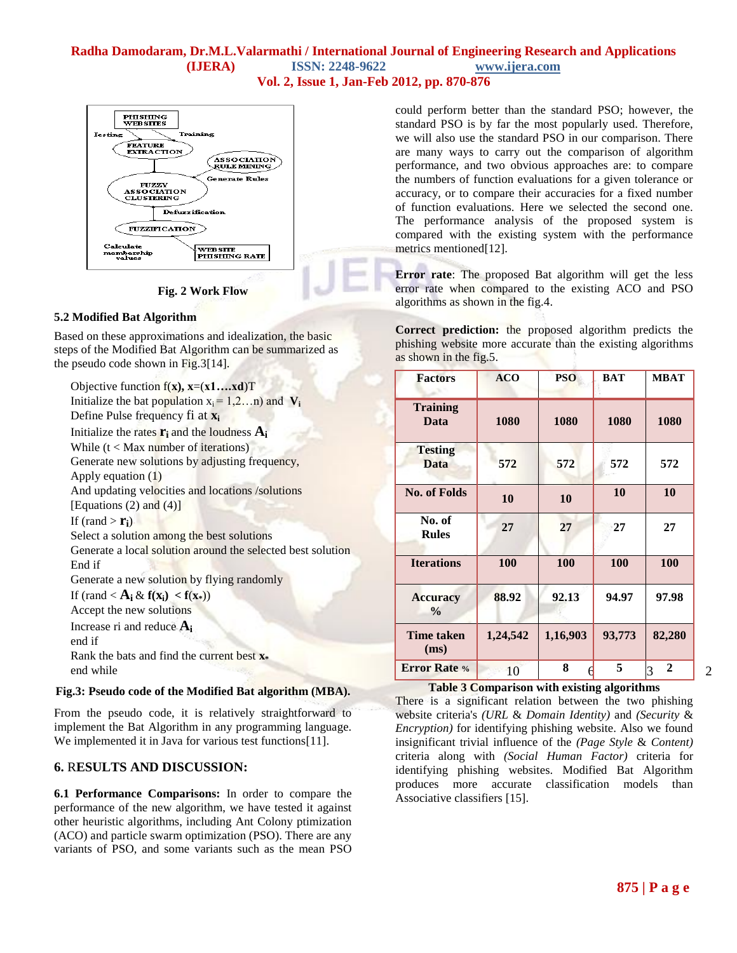

**Fig. 2 Work Flow** 

## **5.2 Modified Bat Algorithm**

Based on these approximations and idealization, the basic steps of the Modified Bat Algorithm can be summarized as the pseudo code shown in  $Fig. 3[14]$ .

Objective function f(**x), x**=(**x1….xd**)T Initialize the bat population  $x_i = 1,2...n$  and  $V_i$ Define Pulse frequency fi at **x<sup>i</sup>** Initialize the rates  $\mathbf{r}_i$  and the loudness  $\mathbf{A}_i$ While  $(t <$  Max number of iterations) Generate new solutions by adjusting frequency, Apply equation (1) And updating velocities and locations /solutions [Equations  $(2)$  and  $(4)$ ] If (rand  $>$  **r**<sub>i</sub>) Select a solution among the best solutions Generate a local solution around the selected best solution End if Generate a new solution by flying randomly If  $(\text{rand} < A_i \& f(\mathbf{x}_i) < f(\mathbf{x}_i))$ Accept the new solutions Increase ri and reduce **A<sup>i</sup>** end if Rank the bats and find the current best **x\*** end while

### **Fig.3: Pseudo code of the Modified Bat algorithm (MBA).**

From the pseudo code, it is relatively straightforward to implement the Bat Algorithm in any programming language. We implemented it in Java for various test functions[11].

## **6.** R**ESULTS AND DISCUSSION:**

**6.1 Performance Comparisons:** In order to compare the performance of the new algorithm, we have tested it against other heuristic algorithms, including Ant Colony ptimization (ACO) and particle swarm optimization (PSO). There are any variants of PSO, and some variants such as the mean PSO could perform better than the standard PSO; however, the standard PSO is by far the most popularly used. Therefore, we will also use the standard PSO in our comparison. There are many ways to carry out the comparison of algorithm performance, and two obvious approaches are: to compare the numbers of function evaluations for a given tolerance or accuracy, or to compare their accuracies for a fixed number of function evaluations. Here we selected the second one. The performance analysis of the proposed system is compared with the existing system with the performance metrics mentioned[12].

**Error rate**: The proposed Bat algorithm will get the less error rate when compared to the existing ACO and PSO algorithms as shown in the fig.4.

**Correct prediction:** the proposed algorithm predicts the phishing website more accurate than the existing algorithms as shown in the fig.5.

| <b>Factors</b>                   | <b>ACO</b> | <b>PSO</b> | <b>BAT</b> | <b>MBAT</b>         |
|----------------------------------|------------|------------|------------|---------------------|
| <b>Training</b><br>Data          | 1080       | 1080       | 1080       | 1080                |
| <b>Testing</b><br><b>Data</b>    | 572        | 572        | 572        | 572                 |
| <b>No. of Folds</b>              | 10         | 10         | 10         | 10                  |
| No. of<br><b>Rules</b>           | 27         | 27         | 27         | 27                  |
| <b>Iterations</b>                | 100        | 100        | 100        | 100                 |
| <b>Accuracy</b><br>$\frac{0}{0}$ | 88.92      | 92.13      | 94.97      | 97.98               |
| <b>Time taken</b><br>(ms)        | 1,24,542   | 1,16,903   | 93,773     | 82,280              |
| <b>Error Rate %</b>              | 10         | 8          | 5          | $\overline{2}$<br>3 |

## **Table 3 Comparison with existing algorithms**

There is a significant relation between the two phishing website criteria's *(URL* & *Domain Identity)* and *(Security* & *Encryption)* for identifying phishing website. Also we found insignificant trivial influence of the *(Page Style* & *Content)*  criteria along with *(Social Human Factor)* criteria for identifying phishing websites. Modified Bat Algorithm produces more accurate classification models than Associative classifiers [15].